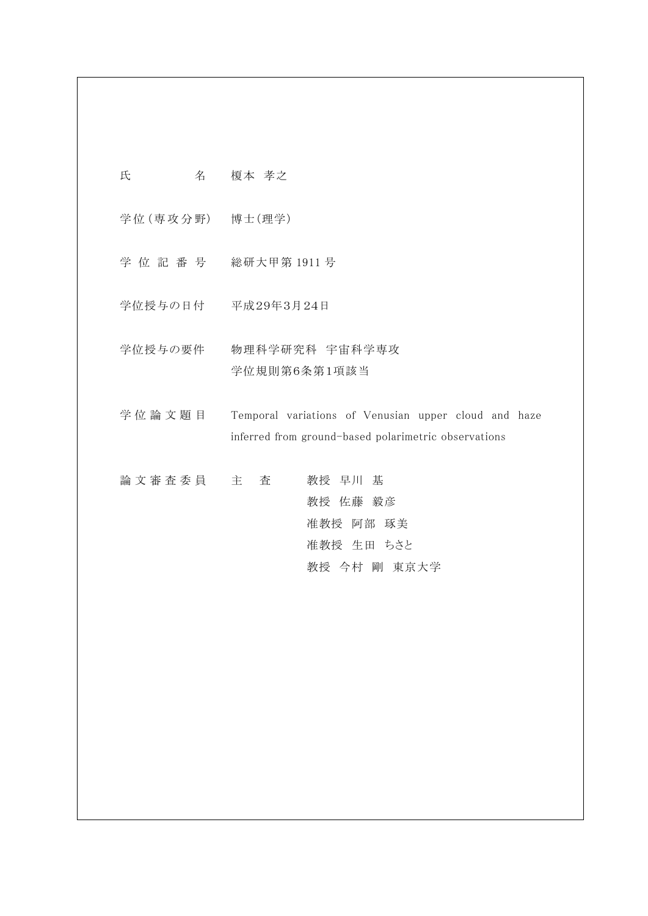| 氏 | 名 | 榎本 孝之 |
|---|---|-------|
|   |   |       |

学位 (専攻分野) 博士 (理学)

- 学 位 記 番 号 総研大甲第 1911 号
- 学位授与の日付 平成29年3月24日
- 学位授与の要件 物理科学研究科 宇宙科学専攻 学位規則第6条第1項該当
- 学位論文題目 Temporal variations of Venusian upper cloud and haze inferred from ground-based polarimetric observations
- 論 文 審 査 委 員 主 查 著 教授 早川 基 教授 佐藤 毅彦 准教授 阿部 琢美 准教授 生田 ちさと 教授 今村 剛 東京大学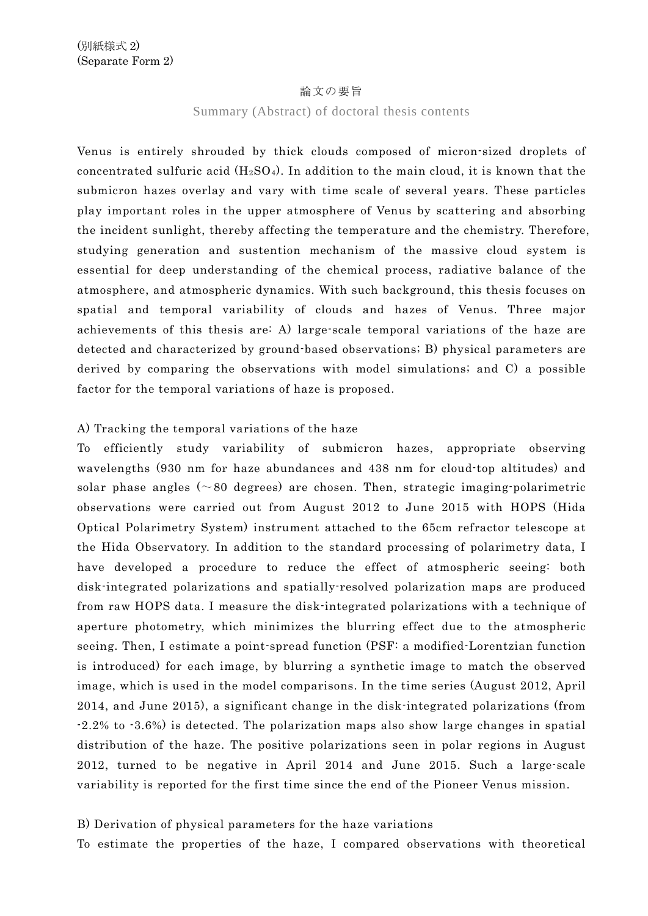### 論文の要旨

#### Summary (Abstract) of doctoral thesis contents

Venus is entirely shrouded by thick clouds composed of micron-sized droplets of concentrated sulfuric acid  $(H_2SO_4)$ . In addition to the main cloud, it is known that the submicron hazes overlay and vary with time scale of several years. These particles play important roles in the upper atmosphere of Venus by scattering and absorbing the incident sunlight, thereby affecting the temperature and the chemistry. Therefore, studying generation and sustention mechanism of the massive cloud system is essential for deep understanding of the chemical process, radiative balance of the atmosphere, and atmospheric dynamics. With such background, this thesis focuses on spatial and temporal variability of clouds and hazes of Venus. Three major achievements of this thesis are: A) large-scale temporal variations of the haze are detected and characterized by ground-based observations; B) physical parameters are derived by comparing the observations with model simulations; and C) a possible factor for the temporal variations of haze is proposed.

## A) Tracking the temporal variations of the haze

To efficiently study variability of submicron hazes, appropriate observing wavelengths (930 nm for haze abundances and 438 nm for cloud-top altitudes) and solar phase angles  $(\sim 80$  degrees) are chosen. Then, strategic imaging-polarimetric observations were carried out from August 2012 to June 2015 with HOPS (Hida Optical Polarimetry System) instrument attached to the 65cm refractor telescope at the Hida Observatory. In addition to the standard processing of polarimetry data, I have developed a procedure to reduce the effect of atmospheric seeing: both disk-integrated polarizations and spatially-resolved polarization maps are produced from raw HOPS data. I measure the disk-integrated polarizations with a technique of aperture photometry, which minimizes the blurring effect due to the atmospheric seeing. Then, I estimate a point-spread function (PSF: a modified-Lorentzian function is introduced) for each image, by blurring a synthetic image to match the observed image, which is used in the model comparisons. In the time series (August 2012, April 2014, and June 2015), a significant change in the disk-integrated polarizations (from -2.2% to -3.6%) is detected. The polarization maps also show large changes in spatial distribution of the haze. The positive polarizations seen in polar regions in August 2012, turned to be negative in April 2014 and June 2015. Such a large-scale variability is reported for the first time since the end of the Pioneer Venus mission.

## B) Derivation of physical parameters for the haze variations

To estimate the properties of the haze, I compared observations with theoretical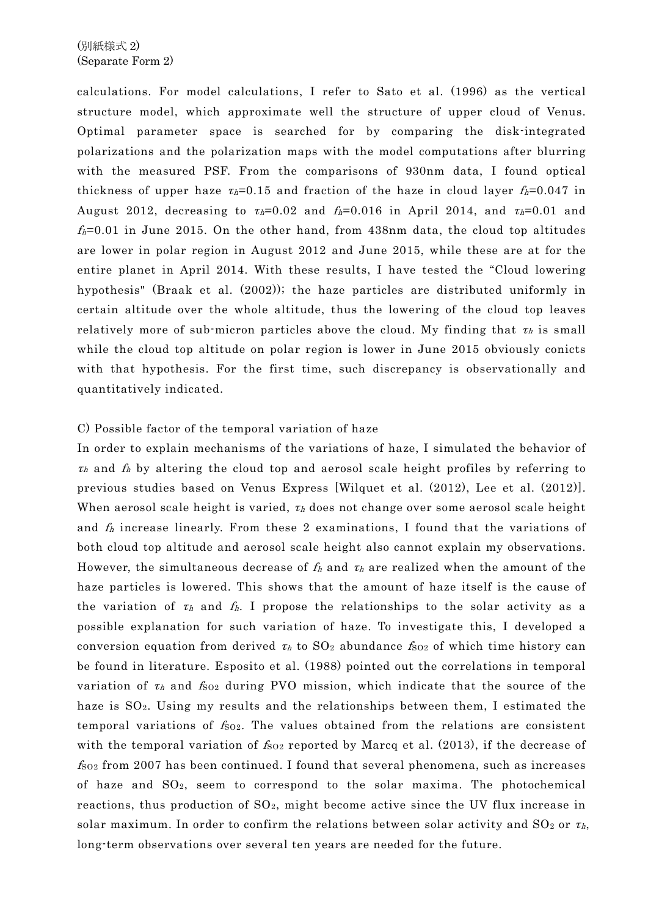calculations. For model calculations, I refer to Sato et al. (1996) as the vertical structure model, which approximate well the structure of upper cloud of Venus. Optimal parameter space is searched for by comparing the disk-integrated polarizations and the polarization maps with the model computations after blurring with the measured PSF. From the comparisons of 930nm data, I found optical thickness of upper haze  $\tau_h=0.15$  and fraction of the haze in cloud layer  $f_h=0.047$  in August 2012, decreasing to  $\tau_h=0.02$  and  $f_h=0.016$  in April 2014, and  $\tau_h=0.01$  and  $f_h=0.01$  in June 2015. On the other hand, from 438nm data, the cloud top altitudes are lower in polar region in August 2012 and June 2015, while these are at for the entire planet in April 2014. With these results, I have tested the "Cloud lowering hypothesis" (Braak et al. (2002)); the haze particles are distributed uniformly in certain altitude over the whole altitude, thus the lowering of the cloud top leaves relatively more of sub-micron particles above the cloud. My finding that  $\tau_h$  is small while the cloud top altitude on polar region is lower in June 2015 obviously conicts with that hypothesis. For the first time, such discrepancy is observationally and quantitatively indicated.

# C) Possible factor of the temporal variation of haze

In order to explain mechanisms of the variations of haze, I simulated the behavior of  $\tau_h$  and  $f_h$  by altering the cloud top and aerosol scale height profiles by referring to previous studies based on Venus Express [Wilquet et al. (2012), Lee et al. (2012)]. When aerosol scale height is varied,  $\tau_h$  does not change over some aerosol scale height and  $f_h$  increase linearly. From these 2 examinations, I found that the variations of both cloud top altitude and aerosol scale height also cannot explain my observations. However, the simultaneous decrease of  $f_h$  and  $\tau_h$  are realized when the amount of the haze particles is lowered. This shows that the amount of haze itself is the cause of the variation of  $\tau_h$  and  $f_h$ . I propose the relationships to the solar activity as a possible explanation for such variation of haze. To investigate this, I developed a conversion equation from derived  $\tau_h$  to  $SO_2$  abundance  $f_{SO_2}$  of which time history can be found in literature. Esposito et al. (1988) pointed out the correlations in temporal variation of  $\tau_h$  and  $f_{S02}$  during PVO mission, which indicate that the source of the haze is SO<sub>2</sub>. Using my results and the relationships between them, I estimated the temporal variations of  $f_{02}$ . The values obtained from the relations are consistent with the temporal variation of  $f_{S_02}$  reported by Marcq et al. (2013), if the decrease of  $f_{S_02}$  from 2007 has been continued. I found that several phenomena, such as increases of haze and SO2, seem to correspond to the solar maxima. The photochemical reactions, thus production of  $SO_2$ , might become active since the UV flux increase in solar maximum. In order to confirm the relations between solar activity and  $SO_2$  or  $\tau_h$ , long-term observations over several ten years are needed for the future.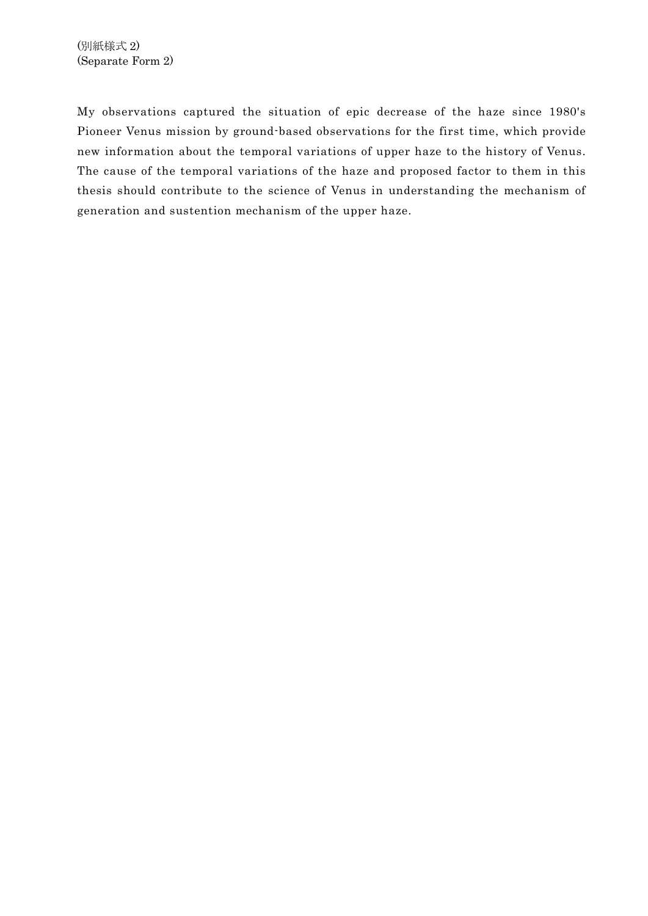My observations captured the situation of epic decrease of the haze since 1980's Pioneer Venus mission by ground-based observations for the first time, which provide new information about the temporal variations of upper haze to the history of Venus. The cause of the temporal variations of the haze and proposed factor to them in this thesis should contribute to the science of Venus in understanding the mechanism of generation and sustention mechanism of the upper haze.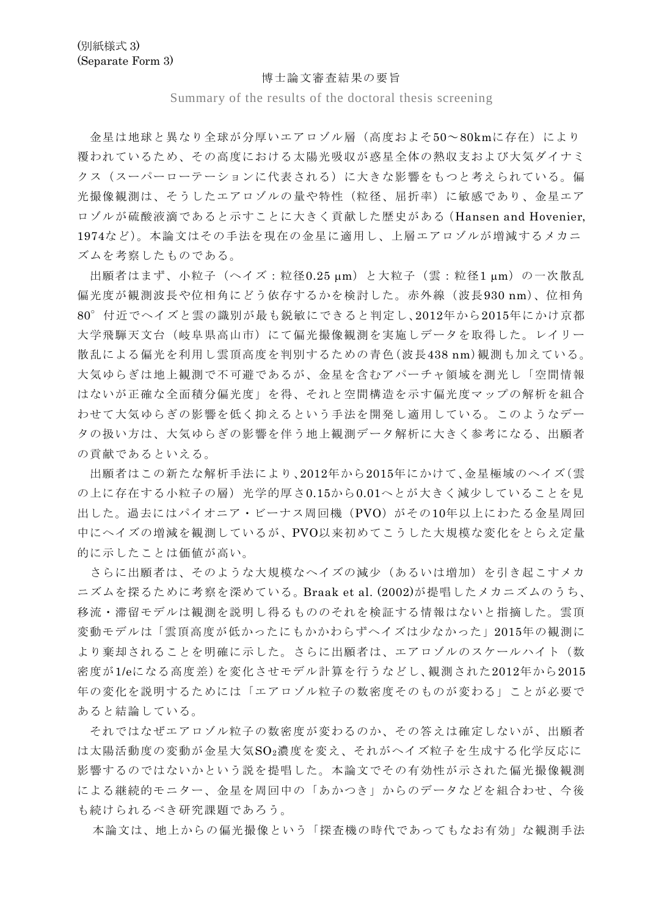#### 博士論文審査結果の要旨

Summary of the results of the doctoral thesis screening

金星は地球と異なり全球が分厚いエアロゾル層(高度およそ50~80kmに存在)により 覆われているため、その高度における太陽光吸収が惑星全体の熱収支および大気ダイナミ クス(スーパーローテーションに代表される)に大きな影響をもつと考えられている。偏 光撮像観測は、そうしたエアロゾルの量や特性(粒径、屈折率)に敏感であり、金星エア ロゾルが硫酸液滴であると示すことに大きく貢献した歴史がある(Hansen and Hovenier, 1974など)。本論文はその手法を現在の金星に適用し、上層エアロゾルが増減するメカニ ズムを考察したものである。

出願者はまず、小粒子(ヘイズ:粒径0.25 µm)と大粒子(雲:粒径1 µm)の一次散乱 偏光度が観測波長や位相角にどう依存するかを検討した。赤外線(波長930 nm)、位相角 80°付近でヘイズと雲の識別が最も鋭敏にできると判定し、2012年から2015年にかけ京都 大学飛騨天文台(岐阜県高山市)にて偏光撮像観測を実施しデータを取得した。レイリー 散乱による偏光を利用し雲頂高度を判別するための青色(波長438 nm)観測も加えている。 大気ゆらぎは地上観測で不可避であるが、金星を含むアパーチャ領域を測光し「空間情報 はないが正確な全面積分偏光度」を得、それと空間構造を示す偏光度マップの解析を組合 わせて大気ゆらぎの影響を低く抑えるという手法を開発し適用している。このようなデー タの扱い方は、大気ゆらぎの影響を伴う地上観測データ解析に大きく参考になる、出願者 の貢献であるといえる。

出願者はこの新たな解析手法により、2012年から2015年にかけて、金星極域のヘイズ(雲 の上に存在する小粒子の層)光学的厚さ0.15から0.01へとが大きく減少していることを見 出した。過去にはパイオニア・ビーナス周回機(PVO)がその10年以上にわたる金星周回 中にヘイズの増減を観測しているが、PVO以来初めてこうした大規模な変化をとらえ定量 的に示したことは価値が高い。

さらに出願者は、そのような大規模なヘイズの減少(あるいは増加)を引き起こすメカ ニズムを探るために考察を深めている。Braak et al. (2002)が提唱したメカニズムのうち、 移流・滞留モデルは観測を説明し得るもののそれを検証する情報はないと指摘した。雲頂 変動モデルは「雲頂高度が低かったにもかかわらずヘイズは少なかった」2015年の観測に より棄却されることを明確に示した。さらに出願者は、エアロゾルのスケールハイト(数 密度が1/eになる高度差)を変化させモデル計算を行うなどし、観測された2012年から2015 年の変化を説明するためには「エアロゾル粒子の数密度そのものが変わる」ことが必要で あると結論している。

それではなぜエアロゾル粒子の数密度が変わるのか、その答えは確定しないが、出願者 は太陽活動度の変動が金星大気SO2濃度を変え、それがヘイズ粒子を生成する化学反応に 影響するのではないかという説を提唱した。本論文でその有効性が示された偏光撮像観測 による継続的モニター、金星を周回中の「あかつき」からのデータなどを組合わせ、今後 も続けられるべき研究課題であろう。

本論文は、地上からの偏光撮像という「探査機の時代であってもなお有効」な観測手法